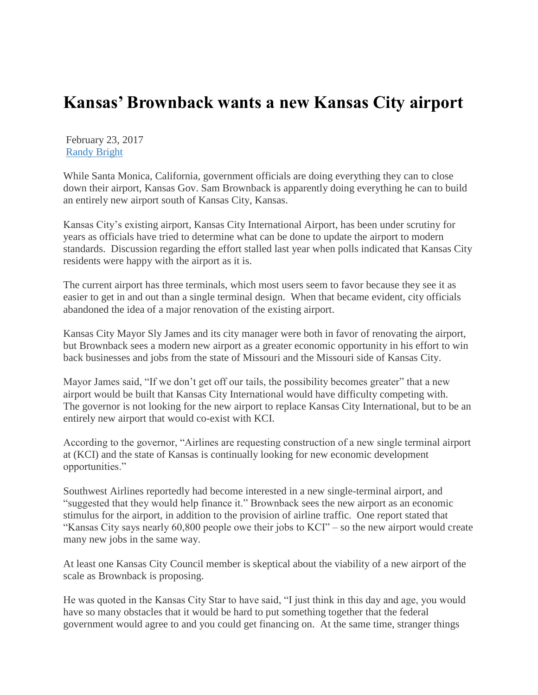## **Kansas' Brownback wants a new Kansas City airport**

February 23, 2017 [Randy Bright](http://tulsabeacon.com/author/randy-bright/)

While Santa Monica, California, government officials are doing everything they can to close down their airport, Kansas Gov. Sam Brownback is apparently doing everything he can to build an entirely new airport south of Kansas City, Kansas.

Kansas City's existing airport, Kansas City International Airport, has been under scrutiny for years as officials have tried to determine what can be done to update the airport to modern standards. Discussion regarding the effort stalled last year when polls indicated that Kansas City residents were happy with the airport as it is.

The current airport has three terminals, which most users seem to favor because they see it as easier to get in and out than a single terminal design. When that became evident, city officials abandoned the idea of a major renovation of the existing airport.

Kansas City Mayor Sly James and its city manager were both in favor of renovating the airport, but Brownback sees a modern new airport as a greater economic opportunity in his effort to win back businesses and jobs from the state of Missouri and the Missouri side of Kansas City.

Mayor James said, "If we don't get off our tails, the possibility becomes greater" that a new airport would be built that Kansas City International would have difficulty competing with. The governor is not looking for the new airport to replace Kansas City International, but to be an entirely new airport that would co-exist with KCI.

According to the governor, "Airlines are requesting construction of a new single terminal airport at (KCI) and the state of Kansas is continually looking for new economic development opportunities."

Southwest Airlines reportedly had become interested in a new single-terminal airport, and "suggested that they would help finance it." Brownback sees the new airport as an economic stimulus for the airport, in addition to the provision of airline traffic. One report stated that "Kansas City says nearly 60,800 people owe their jobs to KCI" – so the new airport would create many new jobs in the same way.

At least one Kansas City Council member is skeptical about the viability of a new airport of the scale as Brownback is proposing.

He was quoted in the Kansas City Star to have said, "I just think in this day and age, you would have so many obstacles that it would be hard to put something together that the federal government would agree to and you could get financing on. At the same time, stranger things